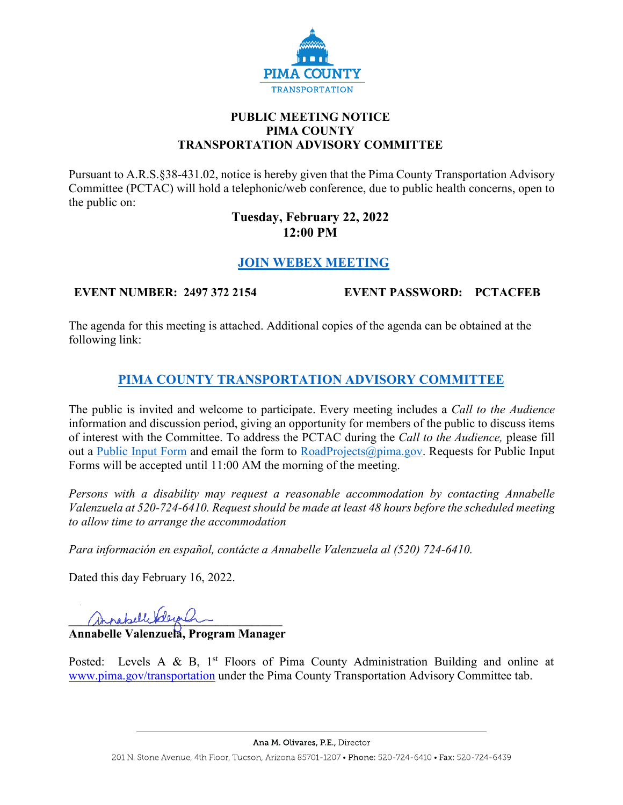

#### **PUBLIC MEETING NOTICE PIMA COUNTY TRANSPORTATION ADVISORY COMMITTEE**

Pursuant to A.R.S.§38-431.02, notice is hereby given that the Pima County Transportation Advisory Committee (PCTAC) will hold a telephonic/web conference, due to public health concerns, open to the public on:

### **Tuesday, February 22, 2022 12:00 PM**

# **[JOIN WEBEX MEETING](https://pimacounty.webex.com/mw3300/mywebex/default.do?siteurl=pimacounty&service=6&main_url=%2Fec3300%2Feventcenter%2Fenroll%2Fjoin.do%3FconfID%3D217611637743435725%26siteurl%3Dpimacounty%26frommw%3D1%26MK%3D24973722154)**

**EVENT NUMBER: 2497 372 2154 EVENT PASSWORD: PCTACFEB**

The agenda for this meeting is attached. Additional copies of the agenda can be obtained at the following link:

# **[PIMA COUNTY TRANSPORTATION ADVISORY COMMITTEE](https://webcms.pima.gov/cms/One.aspx?portalId=169&pageId=355530)**

The public is invited and welcome to participate. Every meeting includes a *Call to the Audience*  information and discussion period, giving an opportunity for members of the public to discuss items of interest with the Committee. To address the PCTAC during the *Call to the Audience,* please fill out a [Public Input Form](https://webcms.pima.gov/UserFiles/Servers/Server_6/File/Government/Transportation/TransportationAdvisoryCommittee/PCTAC_Speaker_Card.pdf) and email the form to [RoadProjects@pima.gov.](mailto:RoadProjects@pima.gov) Requests for Public Input Forms will be accepted until 11:00 AM the morning of the meeting.

*Persons with a disability may request a reasonable accommodation by contacting Annabelle Valenzuela at 520-724-6410. Request should be made at least 48 hours before the scheduled meeting to allow time to arrange the accommodation*

*Para información en español, contácte a Annabelle Valenzuela al (520) 724-6410.*

Dated this day February 16, 2022.

annebelle deepler

**Annabelle Valenzuela, Program Manager** 

Posted: Levels A & B,  $1<sup>st</sup>$  Floors of Pima County Administration Building and online at [www.pima.gov/transportation](http://www.pima.gov/transportation) under the Pima County Transportation Advisory Committee tab.